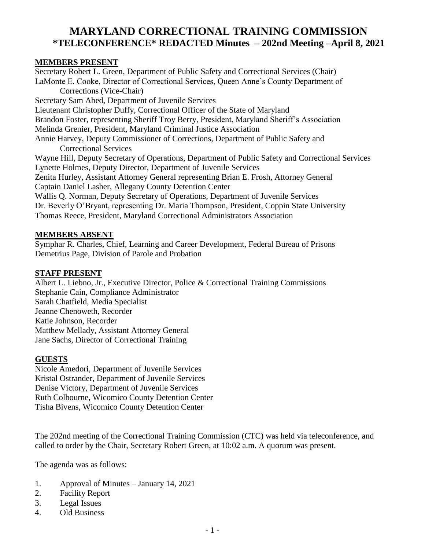# **MARYLAND CORRECTIONAL TRAINING COMMISSION \*TELECONFERENCE\* REDACTED Minutes – 202nd Meeting –April 8, 2021**

#### **MEMBERS PRESENT**

Secretary Robert L. Green, Department of Public Safety and Correctional Services (Chair) LaMonte E. Cooke, Director of Correctional Services, Queen Anne's County Department of Corrections (Vice-Chair) Secretary Sam Abed, Department of Juvenile Services Lieutenant Christopher Duffy, Correctional Officer of the State of Maryland Brandon Foster, representing Sheriff Troy Berry, President, Maryland Sheriff's Association Melinda Grenier, President, Maryland Criminal Justice Association Annie Harvey, Deputy Commissioner of Corrections, Department of Public Safety and Correctional Services Wayne Hill, Deputy Secretary of Operations, Department of Public Safety and Correctional Services Lynette Holmes, Deputy Director, Department of Juvenile Services Zenita Hurley, Assistant Attorney General representing Brian E. Frosh, Attorney General Captain Daniel Lasher, Allegany County Detention Center Wallis Q. Norman, Deputy Secretary of Operations, Department of Juvenile Services Dr. Beverly O'Bryant, representing Dr. Maria Thompson, President, Coppin State University Thomas Reece, President, Maryland Correctional Administrators Association

#### **MEMBERS ABSENT**

Symphar R. Charles, Chief, Learning and Career Development, Federal Bureau of Prisons Demetrius Page, Division of Parole and Probation

#### **STAFF PRESENT**

Albert L. Liebno, Jr., Executive Director, Police & Correctional Training Commissions Stephanie Cain, Compliance Administrator Sarah Chatfield, Media Specialist Jeanne Chenoweth, Recorder Katie Johnson, Recorder Matthew Mellady, Assistant Attorney General Jane Sachs, Director of Correctional Training

#### **GUESTS**

Nicole Amedori, Department of Juvenile Services Kristal Ostrander, Department of Juvenile Services Denise Victory, Department of Juvenile Services Ruth Colbourne, Wicomico County Detention Center Tisha Bivens, Wicomico County Detention Center

The 202nd meeting of the Correctional Training Commission (CTC) was held via teleconference, and called to order by the Chair, Secretary Robert Green, at 10:02 a.m. A quorum was present.

The agenda was as follows:

- 1. Approval of Minutes January 14, 2021
- 2. Facility Report
- 3. Legal Issues
- 4. Old Business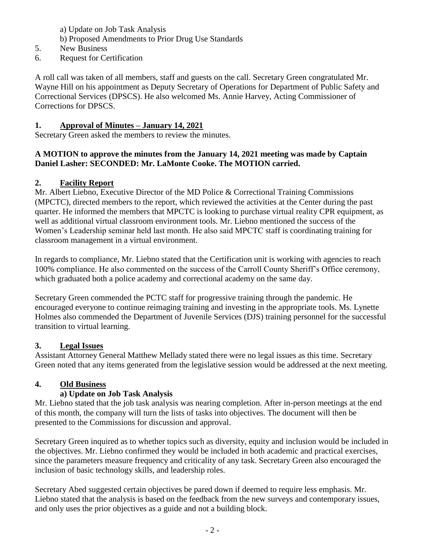- a) Update on Job Task Analysis
- b) Proposed Amendments to Prior Drug Use Standards
- 5. New Business
- 6. Request for Certification

A roll call was taken of all members, staff and guests on the call. Secretary Green congratulated Mr. Wayne Hill on his appointment as Deputy Secretary of Operations for Department of Public Safety and Correctional Services (DPSCS). He also welcomed Ms. Annie Harvey, Acting Commissioner of Corrections for DPSCS.

#### **1. Approval of Minutes – January 14, 2021**

Secretary Green asked the members to review the minutes.

#### **A MOTION to approve the minutes from the January 14, 2021 meeting was made by Captain Daniel Lasher: SECONDED: Mr. LaMonte Cooke. The MOTION carried.**

#### **2. Facility Report**

Mr. Albert Liebno, Executive Director of the MD Police & Correctional Training Commissions (MPCTC), directed members to the report, which reviewed the activities at the Center during the past quarter. He informed the members that MPCTC is looking to purchase virtual reality CPR equipment, as well as additional virtual classroom environment tools. Mr. Liebno mentioned the success of the Women's Leadership seminar held last month. He also said MPCTC staff is coordinating training for classroom management in a virtual environment.

In regards to compliance, Mr. Liebno stated that the Certification unit is working with agencies to reach 100% compliance. He also commented on the success of the Carroll County Sheriff's Office ceremony, which graduated both a police academy and correctional academy on the same day.

Secretary Green commended the PCTC staff for progressive training through the pandemic. He encouraged everyone to continue reimaging training and investing in the appropriate tools. Ms. Lynette Holmes also commended the Department of Juvenile Services (DJS) training personnel for the successful transition to virtual learning.

#### **3. Legal Issues**

Assistant Attorney General Matthew Mellady stated there were no legal issues as this time. Secretary Green noted that any items generated from the legislative session would be addressed at the next meeting.

#### **4. Old Business**

#### **a) Update on Job Task Analysis**

Mr. Liebno stated that the job task analysis was nearing completion. After in-person meetings at the end of this month, the company will turn the lists of tasks into objectives. The document will then be presented to the Commissions for discussion and approval.

Secretary Green inquired as to whether topics such as diversity, equity and inclusion would be included in the objectives. Mr. Liebno confirmed they would be included in both academic and practical exercises, since the parameters measure frequency and criticality of any task. Secretary Green also encouraged the inclusion of basic technology skills, and leadership roles.

Secretary Abed suggested certain objectives be pared down if deemed to require less emphasis. Mr. Liebno stated that the analysis is based on the feedback from the new surveys and contemporary issues, and only uses the prior objectives as a guide and not a building block.